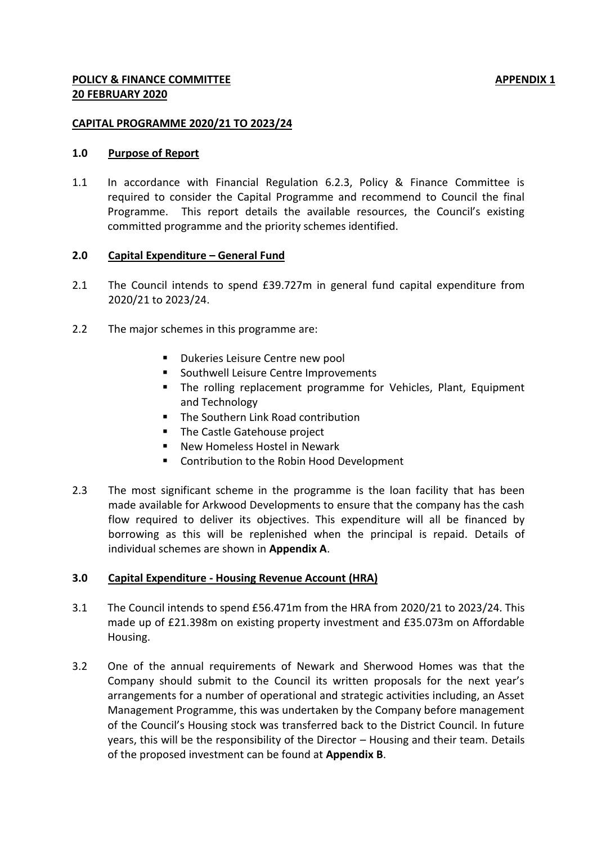## **CAPITAL PROGRAMME 2020/21 TO 2023/24**

## **1.0 Purpose of Report**

1.1 In accordance with Financial Regulation 6.2.3, Policy & Finance Committee is required to consider the Capital Programme and recommend to Council the final Programme. This report details the available resources, the Council's existing committed programme and the priority schemes identified.

## **2.0 Capital Expenditure – General Fund**

- 2.1 The Council intends to spend £39.727m in general fund capital expenditure from 2020/21 to 2023/24.
- 2.2 The major schemes in this programme are:
	- **Dukeries Leisure Centre new pool**
	- **Southwell Leisure Centre Improvements**
	- **The rolling replacement programme for Vehicles, Plant, Equipment** and Technology
	- The Southern Link Road contribution
	- **The Castle Gatehouse project**
	- **New Homeless Hostel in Newark**
	- Contribution to the Robin Hood Development
- 2.3 The most significant scheme in the programme is the loan facility that has been made available for Arkwood Developments to ensure that the company has the cash flow required to deliver its objectives. This expenditure will all be financed by borrowing as this will be replenished when the principal is repaid. Details of individual schemes are shown in **Appendix A**.

# **3.0 Capital Expenditure - Housing Revenue Account (HRA)**

- 3.1 The Council intends to spend £56.471m from the HRA from 2020/21 to 2023/24. This made up of £21.398m on existing property investment and £35.073m on Affordable Housing.
- 3.2 One of the annual requirements of Newark and Sherwood Homes was that the Company should submit to the Council its written proposals for the next year's arrangements for a number of operational and strategic activities including, an Asset Management Programme, this was undertaken by the Company before management of the Council's Housing stock was transferred back to the District Council. In future years, this will be the responsibility of the Director – Housing and their team. Details of the proposed investment can be found at **Appendix B**.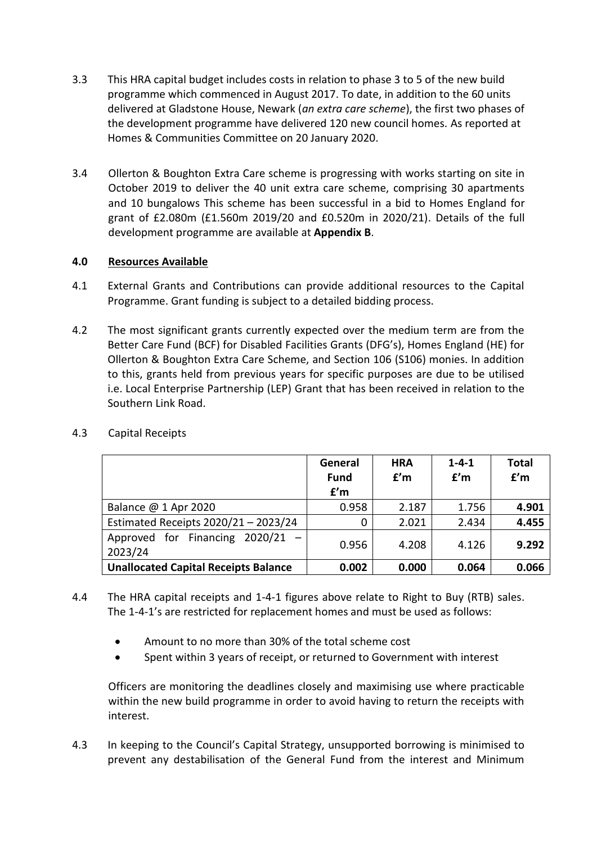- 3.3 This HRA capital budget includes costs in relation to phase 3 to 5 of the new build programme which commenced in August 2017. To date, in addition to the 60 units delivered at Gladstone House, Newark (*an extra care scheme*), the first two phases of the development programme have delivered 120 new council homes. As reported at Homes & Communities Committee on 20 January 2020.
- 3.4 Ollerton & Boughton Extra Care scheme is progressing with works starting on site in October 2019 to deliver the 40 unit extra care scheme, comprising 30 apartments and 10 bungalows This scheme has been successful in a bid to Homes England for grant of £2.080m (£1.560m 2019/20 and £0.520m in 2020/21). Details of the full development programme are available at **Appendix B**.

# **4.0 Resources Available**

- 4.1 External Grants and Contributions can provide additional resources to the Capital Programme. Grant funding is subject to a detailed bidding process.
- 4.2 The most significant grants currently expected over the medium term are from the Better Care Fund (BCF) for Disabled Facilities Grants (DFG's), Homes England (HE) for Ollerton & Boughton Extra Care Scheme, and Section 106 (S106) monies. In addition to this, grants held from previous years for specific purposes are due to be utilised i.e. Local Enterprise Partnership (LEP) Grant that has been received in relation to the Southern Link Road.

|                                               | General<br><b>Fund</b><br>f'm | <b>HRA</b><br>f'm | $1 - 4 - 1$<br>f'm | <b>Total</b><br>f'm |
|-----------------------------------------------|-------------------------------|-------------------|--------------------|---------------------|
| Balance $@1$ Apr 2020                         | 0.958                         | 2.187             | 1.756              | 4.901               |
| Estimated Receipts 2020/21 - 2023/24          | 0                             | 2.021             | 2.434              | 4.455               |
| Approved for Financing $2020/21 -$<br>2023/24 | 0.956                         | 4.208             | 4.126              | 9.292               |
| <b>Unallocated Capital Receipts Balance</b>   | 0.002                         | 0.000             | 0.064              | 0.066               |

4.3 Capital Receipts

- 4.4 The HRA capital receipts and 1-4-1 figures above relate to Right to Buy (RTB) sales. The 1-4-1's are restricted for replacement homes and must be used as follows:
	- Amount to no more than 30% of the total scheme cost
	- Spent within 3 years of receipt, or returned to Government with interest

Officers are monitoring the deadlines closely and maximising use where practicable within the new build programme in order to avoid having to return the receipts with interest.

4.3 In keeping to the Council's Capital Strategy, unsupported borrowing is minimised to prevent any destabilisation of the General Fund from the interest and Minimum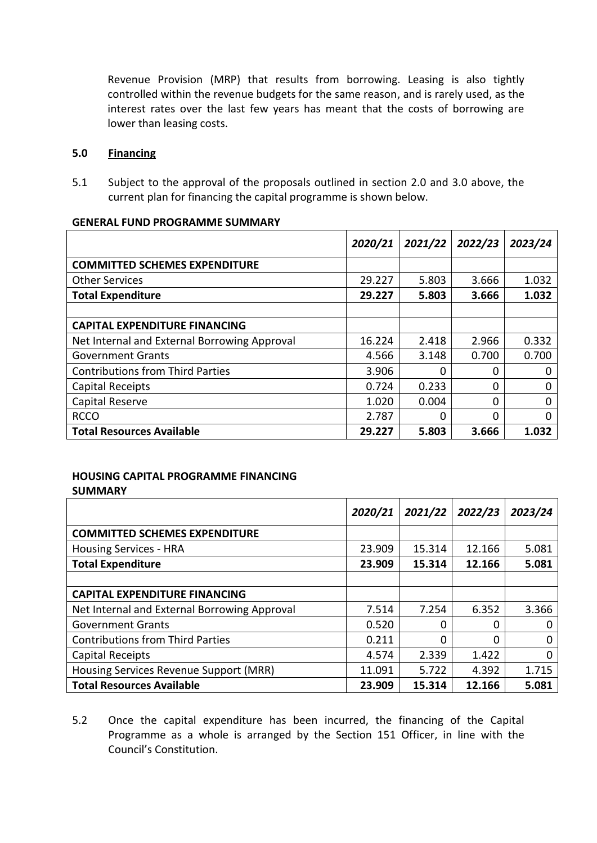Revenue Provision (MRP) that results from borrowing. Leasing is also tightly controlled within the revenue budgets for the same reason, and is rarely used, as the interest rates over the last few years has meant that the costs of borrowing are lower than leasing costs.

# **5.0 Financing**

5.1 Subject to the approval of the proposals outlined in section 2.0 and 3.0 above, the current plan for financing the capital programme is shown below.

|                                              | 2020/21 | 2021/22 | 2022/23 | 2023/24     |
|----------------------------------------------|---------|---------|---------|-------------|
| <b>COMMITTED SCHEMES EXPENDITURE</b>         |         |         |         |             |
| <b>Other Services</b>                        | 29.227  | 5.803   | 3.666   | 1.032       |
| <b>Total Expenditure</b>                     | 29.227  | 5.803   | 3.666   | 1.032       |
|                                              |         |         |         |             |
| <b>CAPITAL EXPENDITURE FINANCING</b>         |         |         |         |             |
| Net Internal and External Borrowing Approval | 16.224  | 2.418   | 2.966   | 0.332       |
| <b>Government Grants</b>                     | 4.566   | 3.148   | 0.700   | 0.700       |
| <b>Contributions from Third Parties</b>      | 3.906   | 0       | 0       | 0           |
| <b>Capital Receipts</b>                      | 0.724   | 0.233   | 0       | $\Omega$    |
| Capital Reserve                              | 1.020   | 0.004   | 0       | $\mathbf 0$ |
| <b>RCCO</b>                                  | 2.787   | 0       | 0       | $\mathbf 0$ |
| <b>Total Resources Available</b>             | 29.227  | 5.803   | 3.666   | 1.032       |

#### **GENERAL FUND PROGRAMME SUMMARY**

### **HOUSING CAPITAL PROGRAMME FINANCING SUMMARY**

|                                              | 2020/21 | 2021/22 | 2022/23 | 2023/24 |
|----------------------------------------------|---------|---------|---------|---------|
| <b>COMMITTED SCHEMES EXPENDITURE</b>         |         |         |         |         |
| <b>Housing Services - HRA</b>                | 23.909  | 15.314  | 12.166  | 5.081   |
| <b>Total Expenditure</b>                     | 23.909  | 15.314  | 12.166  | 5.081   |
|                                              |         |         |         |         |
| <b>CAPITAL EXPENDITURE FINANCING</b>         |         |         |         |         |
| Net Internal and External Borrowing Approval | 7.514   | 7.254   | 6.352   | 3.366   |
| <b>Government Grants</b>                     | 0.520   | 0       | 0       |         |
| <b>Contributions from Third Parties</b>      | 0.211   | 0       | 0       | O       |
| Capital Receipts                             | 4.574   | 2.339   | 1.422   |         |
| Housing Services Revenue Support (MRR)       | 11.091  | 5.722   | 4.392   | 1.715   |
| <b>Total Resources Available</b>             | 23.909  | 15.314  | 12.166  | 5.081   |

5.2 Once the capital expenditure has been incurred, the financing of the Capital Programme as a whole is arranged by the Section 151 Officer, in line with the Council's Constitution.